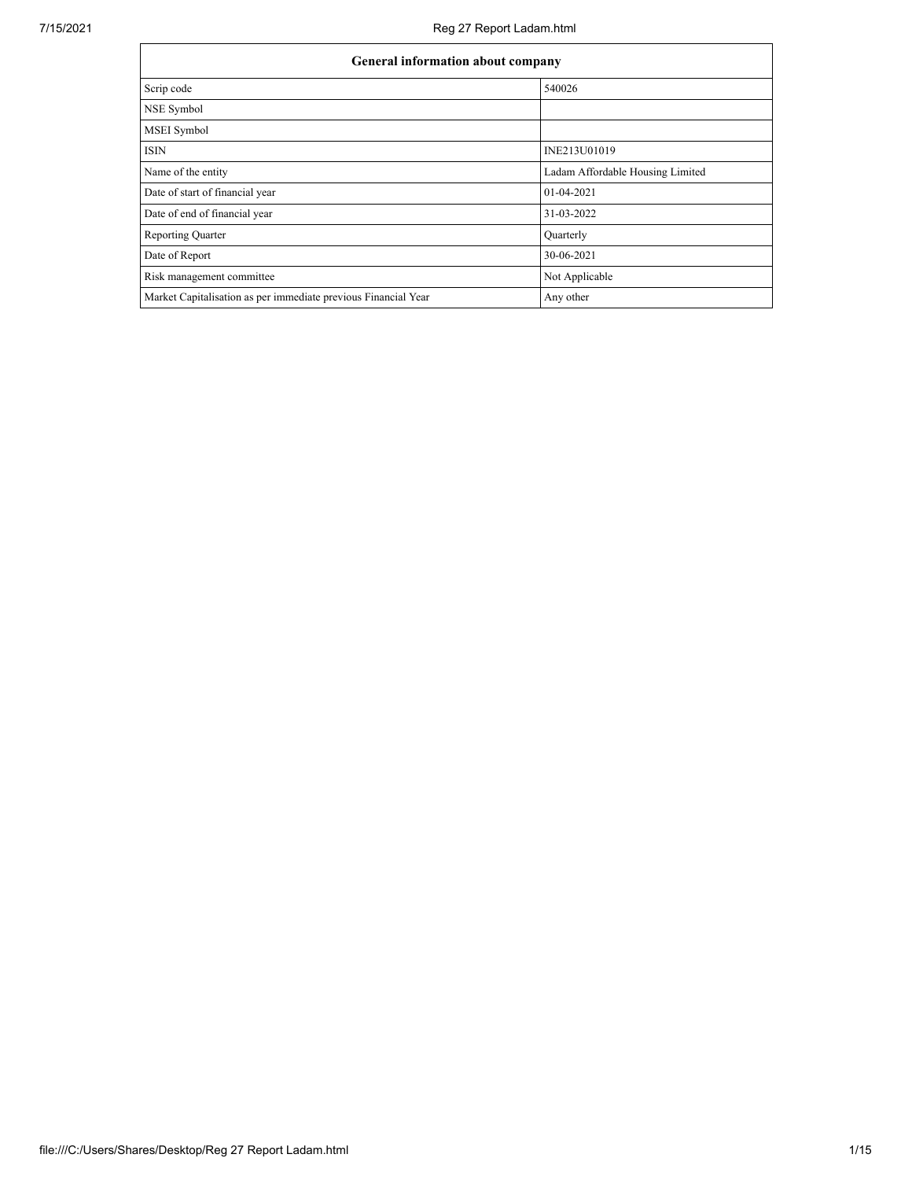| <b>General information about company</b>                       |                                  |  |  |  |  |  |
|----------------------------------------------------------------|----------------------------------|--|--|--|--|--|
| Scrip code                                                     | 540026                           |  |  |  |  |  |
| NSE Symbol                                                     |                                  |  |  |  |  |  |
| <b>MSEI</b> Symbol                                             |                                  |  |  |  |  |  |
| <b>ISIN</b>                                                    | INE213U01019                     |  |  |  |  |  |
| Name of the entity                                             | Ladam Affordable Housing Limited |  |  |  |  |  |
| Date of start of financial year                                | 01-04-2021                       |  |  |  |  |  |
| Date of end of financial year                                  | 31-03-2022                       |  |  |  |  |  |
| <b>Reporting Quarter</b>                                       | Quarterly                        |  |  |  |  |  |
| Date of Report                                                 | 30-06-2021                       |  |  |  |  |  |
| Risk management committee                                      | Not Applicable                   |  |  |  |  |  |
| Market Capitalisation as per immediate previous Financial Year | Any other                        |  |  |  |  |  |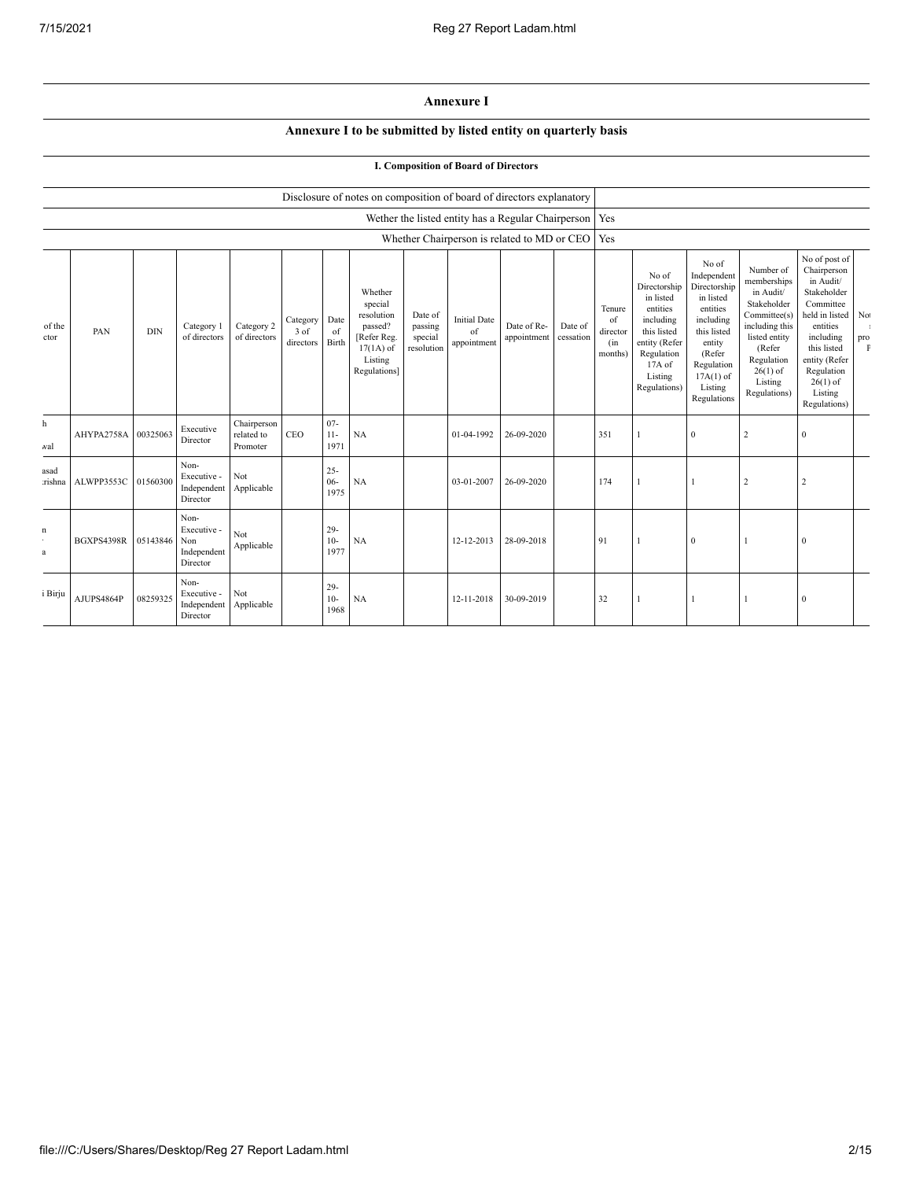## **Annexure I**

## **Annexure I to be submitted by listed entity on quarterly basis**

## **I. Composition of Board of Directors**

|                             |                   |            |                                                       |                                       |                               |                          | Disclosure of notes on composition of board of directors explanatory                                 |                                             |                                                          |                            |                      |                                            |                                                                                                                                                |                                                                                                                                                                      |                                                                                                                                                                          |                                                                                                                                                                                                         |                            |
|-----------------------------|-------------------|------------|-------------------------------------------------------|---------------------------------------|-------------------------------|--------------------------|------------------------------------------------------------------------------------------------------|---------------------------------------------|----------------------------------------------------------|----------------------------|----------------------|--------------------------------------------|------------------------------------------------------------------------------------------------------------------------------------------------|----------------------------------------------------------------------------------------------------------------------------------------------------------------------|--------------------------------------------------------------------------------------------------------------------------------------------------------------------------|---------------------------------------------------------------------------------------------------------------------------------------------------------------------------------------------------------|----------------------------|
|                             |                   |            |                                                       |                                       |                               |                          |                                                                                                      |                                             | Wether the listed entity has a Regular Chairperson   Yes |                            |                      |                                            |                                                                                                                                                |                                                                                                                                                                      |                                                                                                                                                                          |                                                                                                                                                                                                         |                            |
|                             |                   |            |                                                       |                                       |                               |                          |                                                                                                      |                                             | Whether Chairperson is related to MD or CEO   Yes        |                            |                      |                                            |                                                                                                                                                |                                                                                                                                                                      |                                                                                                                                                                          |                                                                                                                                                                                                         |                            |
| of the<br>ctor              | PAN               | <b>DIN</b> | Category 1<br>of directors                            | Category 2<br>of directors            | Category<br>3 of<br>directors | Date<br>of<br>Birth      | Whether<br>special<br>resolution<br>passed?<br>[Refer Reg.<br>$17(1A)$ of<br>Listing<br>Regulations] | Date of<br>passing<br>special<br>resolution | <b>Initial Date</b><br>of<br>appointment                 | Date of Re-<br>appointment | Date of<br>cessation | Tenure<br>of<br>director<br>(in<br>months) | No of<br>Directorship<br>in listed<br>entities<br>including<br>this listed<br>entity (Refer<br>Regulation<br>17A of<br>Listing<br>Regulations) | No of<br>Independent<br>Directorship<br>in listed<br>entities<br>including<br>this listed<br>entity<br>(Refer<br>Regulation<br>$17A(1)$ of<br>Listing<br>Regulations | Number of<br>memberships<br>in Audit/<br>Stakeholder<br>Committee(s)<br>including this<br>listed entity<br>(Refer<br>Regulation<br>$26(1)$ of<br>Listing<br>Regulations) | No of post of<br>Chairperson<br>in Audit/<br>Stakeholder<br>Committee<br>held in listed<br>entities<br>including<br>this listed<br>entity (Refer<br>Regulation<br>$26(1)$ of<br>Listing<br>Regulations) | No.<br>pro<br>$\mathbf{F}$ |
| h<br>val                    | AHYPA2758A        | 00325063   | Executive<br>Director                                 | Chairperson<br>related to<br>Promoter | CEO                           | $07 -$<br>$11-$<br>1971  | NA                                                                                                   |                                             | 01-04-1992                                               | 26-09-2020                 |                      | 351                                        |                                                                                                                                                | $\mathbf{0}$                                                                                                                                                         | $\overline{2}$                                                                                                                                                           | $\Omega$                                                                                                                                                                                                |                            |
| asad<br>rishna              | ALWPP3553C        | 01560300   | Non-<br>Executive -<br>Independent<br>Director        | Not<br>Applicable                     |                               | $25 -$<br>$06 -$<br>1975 | NA                                                                                                   |                                             | 03-01-2007                                               | 26-09-2020                 |                      | 174                                        | 1                                                                                                                                              |                                                                                                                                                                      | $\overline{2}$                                                                                                                                                           | $\overline{2}$                                                                                                                                                                                          |                            |
| $\mathbf n$<br>$\mathbf{a}$ | <b>BGXPS4398R</b> | 05143846   | Non-<br>Executive -<br>Non<br>Independent<br>Director | Not<br>Applicable                     |                               | $29 -$<br>$10-$<br>1977  | NA                                                                                                   |                                             | 12-12-2013                                               | 28-09-2018                 |                      | 91                                         | $\mathbf{1}$                                                                                                                                   | $\mathbf{0}$                                                                                                                                                         |                                                                                                                                                                          | $\Omega$                                                                                                                                                                                                |                            |
| i Birju                     | AJUPS4864P        | 08259325   | Non-<br>Executive -<br>Independent<br>Director        | Not<br>Applicable                     |                               | $29 -$<br>$10-$<br>1968  | NA                                                                                                   |                                             | 12-11-2018                                               | 30-09-2019                 |                      | 32                                         |                                                                                                                                                |                                                                                                                                                                      |                                                                                                                                                                          | $\Omega$                                                                                                                                                                                                |                            |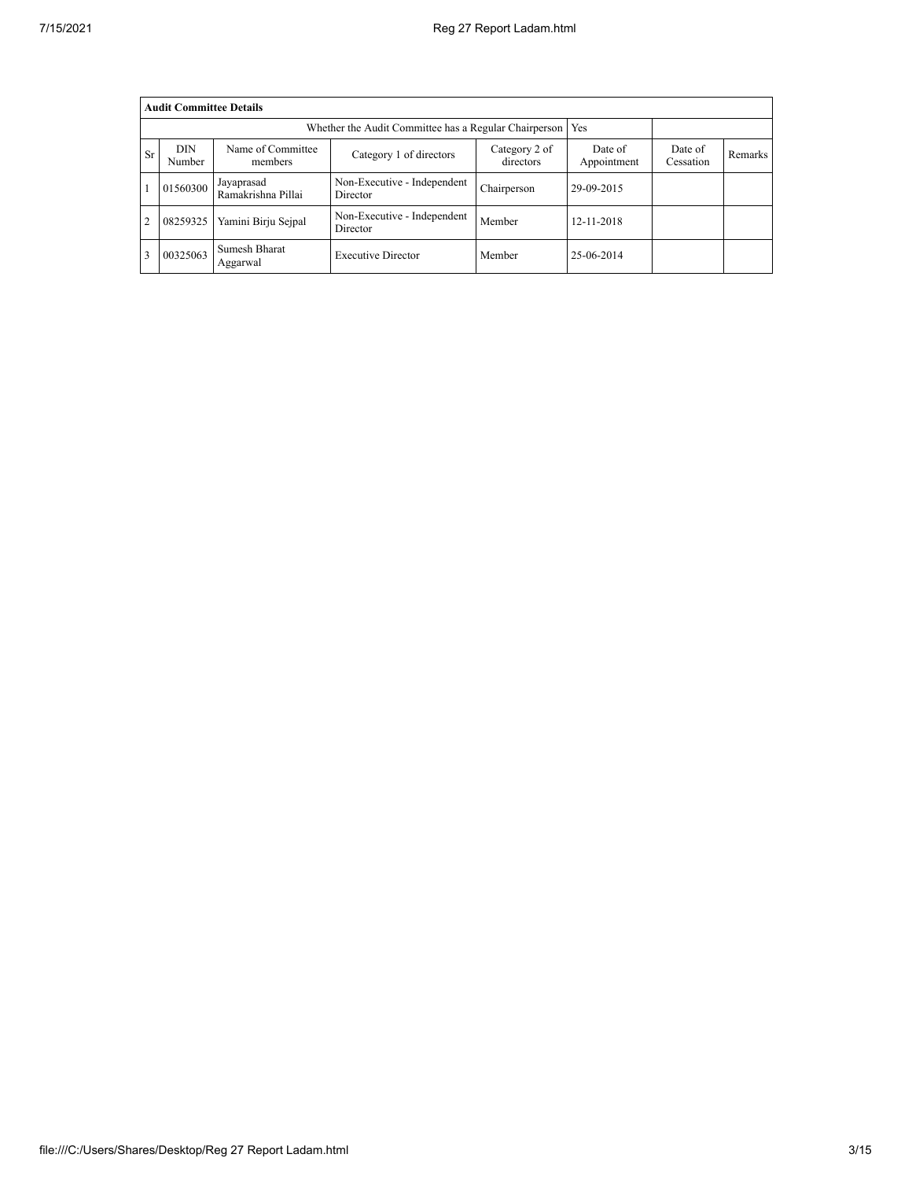|           | <b>Audit Committee Details</b> |                                  |                                         |                            |                        |                      |                |  |  |  |
|-----------|--------------------------------|----------------------------------|-----------------------------------------|----------------------------|------------------------|----------------------|----------------|--|--|--|
|           |                                |                                  |                                         |                            |                        |                      |                |  |  |  |
| <b>Sr</b> | <b>DIN</b><br>Number           | Name of Committee<br>members     | Category 1 of directors                 | Category 2 of<br>directors | Date of<br>Appointment | Date of<br>Cessation | <b>Remarks</b> |  |  |  |
|           | 01560300                       | Jayaprasad<br>Ramakrishna Pillai | Non-Executive - Independent<br>Director | Chairperson                | 29-09-2015             |                      |                |  |  |  |
| 2         | 08259325                       | Yamini Birju Sejpal              | Non-Executive - Independent<br>Director | Member                     | 12-11-2018             |                      |                |  |  |  |
| 3         | 00325063                       | Sumesh Bharat<br>Aggarwal        | <b>Executive Director</b>               | Member                     | 25-06-2014             |                      |                |  |  |  |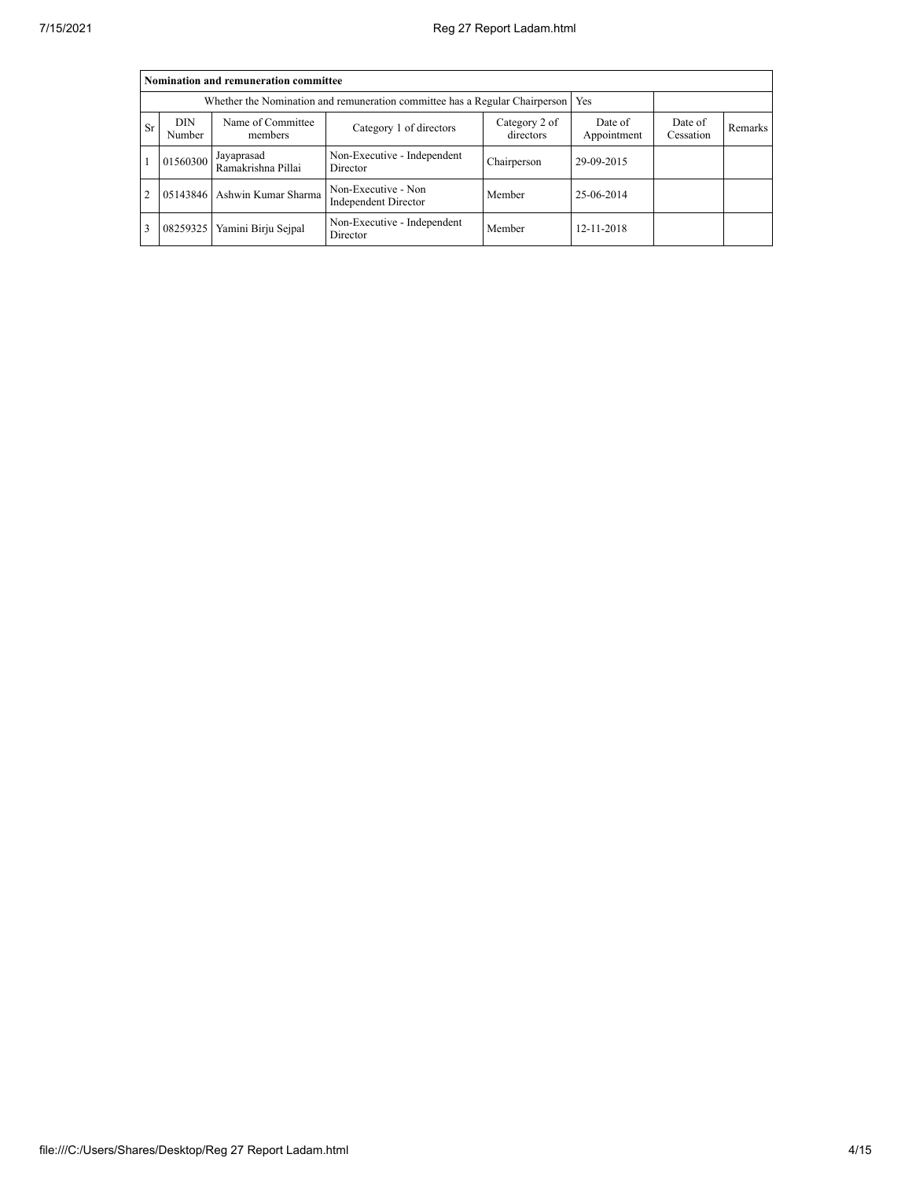|               | Nomination and remuneration committee                                                                         |                                                                             |                                                    |             |                        |                      |         |  |  |  |  |
|---------------|---------------------------------------------------------------------------------------------------------------|-----------------------------------------------------------------------------|----------------------------------------------------|-------------|------------------------|----------------------|---------|--|--|--|--|
|               |                                                                                                               | Whether the Nomination and remuneration committee has a Regular Chairperson |                                                    | Yes         |                        |                      |         |  |  |  |  |
| <b>Sr</b>     | Name of Committee<br><b>DIN</b><br>Category 2 of<br>Category 1 of directors<br>directors<br>Number<br>members |                                                                             |                                                    |             | Date of<br>Appointment | Date of<br>Cessation | Remarks |  |  |  |  |
|               | 01560300                                                                                                      | Jayaprasad<br>Ramakrishna Pillai                                            | Non-Executive - Independent<br>Director            | Chairperson | 29-09-2015             |                      |         |  |  |  |  |
| $\mathcal{L}$ |                                                                                                               | 05143846 Ashwin Kumar Sharma                                                | Non-Executive - Non<br><b>Independent Director</b> | Member      | 25-06-2014             |                      |         |  |  |  |  |
| 3             | 08259325                                                                                                      | Yamini Birju Sejpal                                                         | Non-Executive - Independent<br>Director            | Member      | 12-11-2018             |                      |         |  |  |  |  |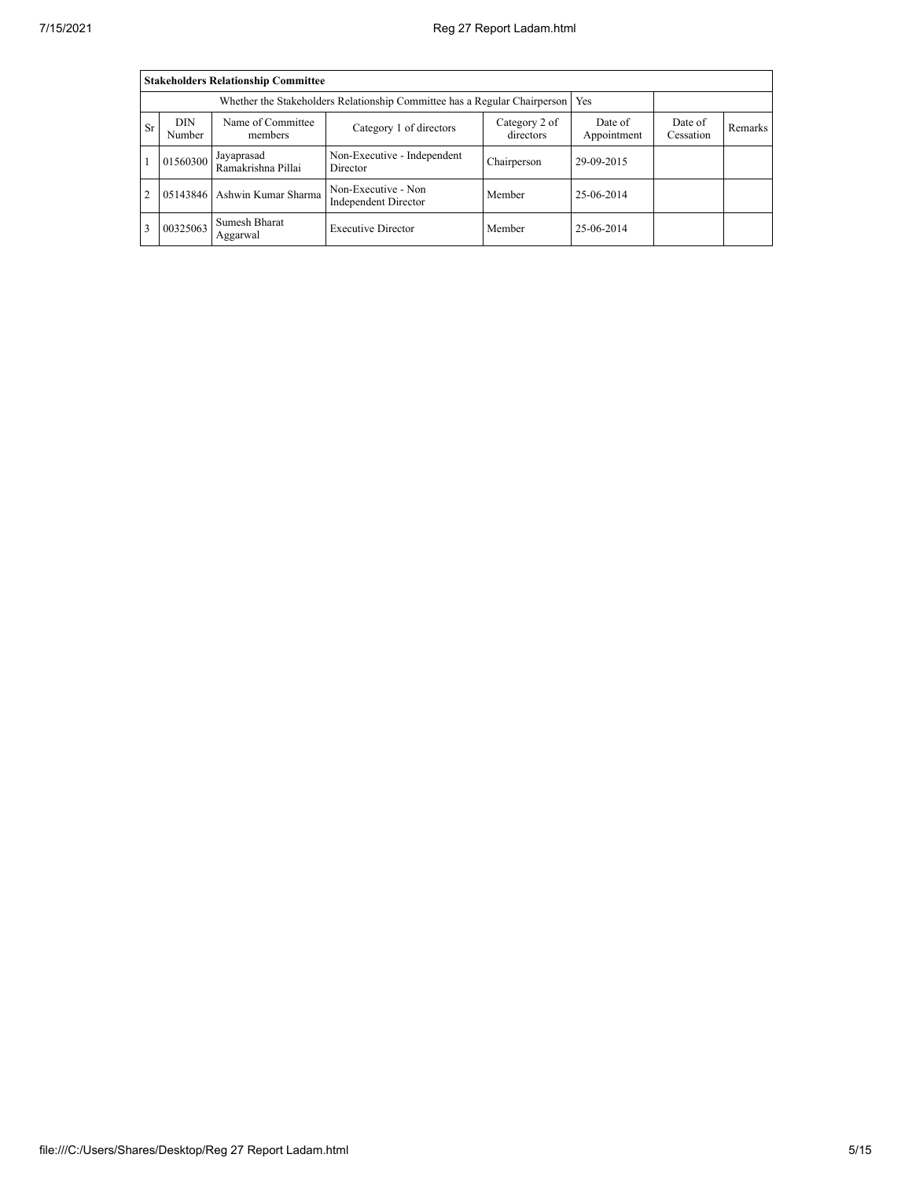|           |                      | <b>Stakeholders Relationship Committee</b>                                                           |                                                    |             |            |                      |         |
|-----------|----------------------|------------------------------------------------------------------------------------------------------|----------------------------------------------------|-------------|------------|----------------------|---------|
|           |                      | Whether the Stakeholders Relationship Committee has a Regular Chairperson                            | Yes                                                |             |            |                      |         |
| <b>Sr</b> | <b>DIN</b><br>Number | Name of Committee<br>Category 2 of<br>Category 1 of directors<br>directors<br>Appointment<br>members |                                                    |             |            | Date of<br>Cessation | Remarks |
|           | 01560300             | Jayaprasad<br>Ramakrishna Pillai                                                                     | Non-Executive - Independent<br>Director            | Chairperson | 29-09-2015 |                      |         |
|           | 05143846             | Ashwin Kumar Sharma                                                                                  | Non-Executive - Non<br><b>Independent Director</b> | Member      | 25-06-2014 |                      |         |
|           | 00325063             | Sumesh Bharat<br>Aggarwal                                                                            | <b>Executive Director</b>                          | Member      | 25-06-2014 |                      |         |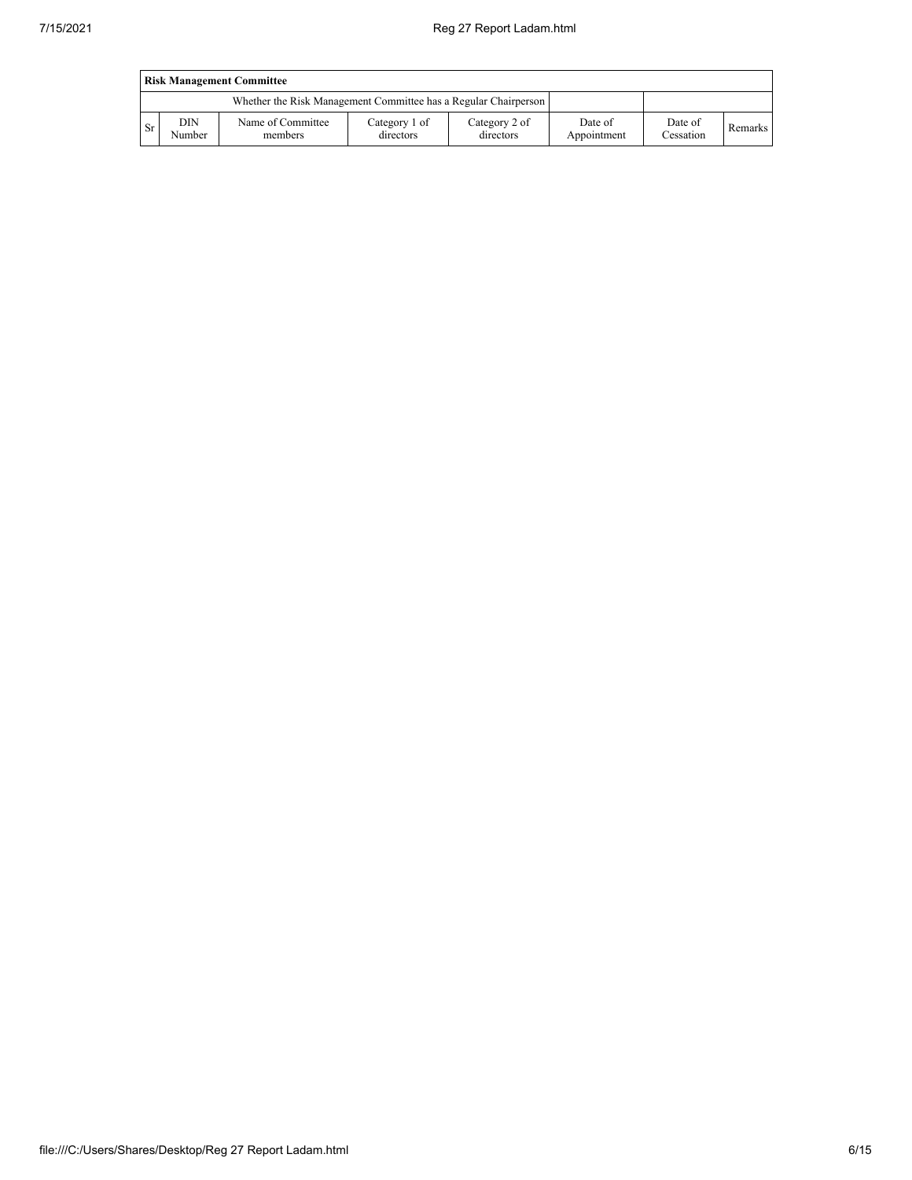|     | <b>Risk Management Committee</b> |                                                                 |                            |                            |                        |                      |         |  |  |  |
|-----|----------------------------------|-----------------------------------------------------------------|----------------------------|----------------------------|------------------------|----------------------|---------|--|--|--|
|     |                                  | Whether the Risk Management Committee has a Regular Chairperson |                            |                            |                        |                      |         |  |  |  |
| -Sr | DIN<br>Number                    | Name of Committee<br>members                                    | Category 1 of<br>directors | Category 2 of<br>directors | Date of<br>Appointment | Date of<br>Cessation | Remarks |  |  |  |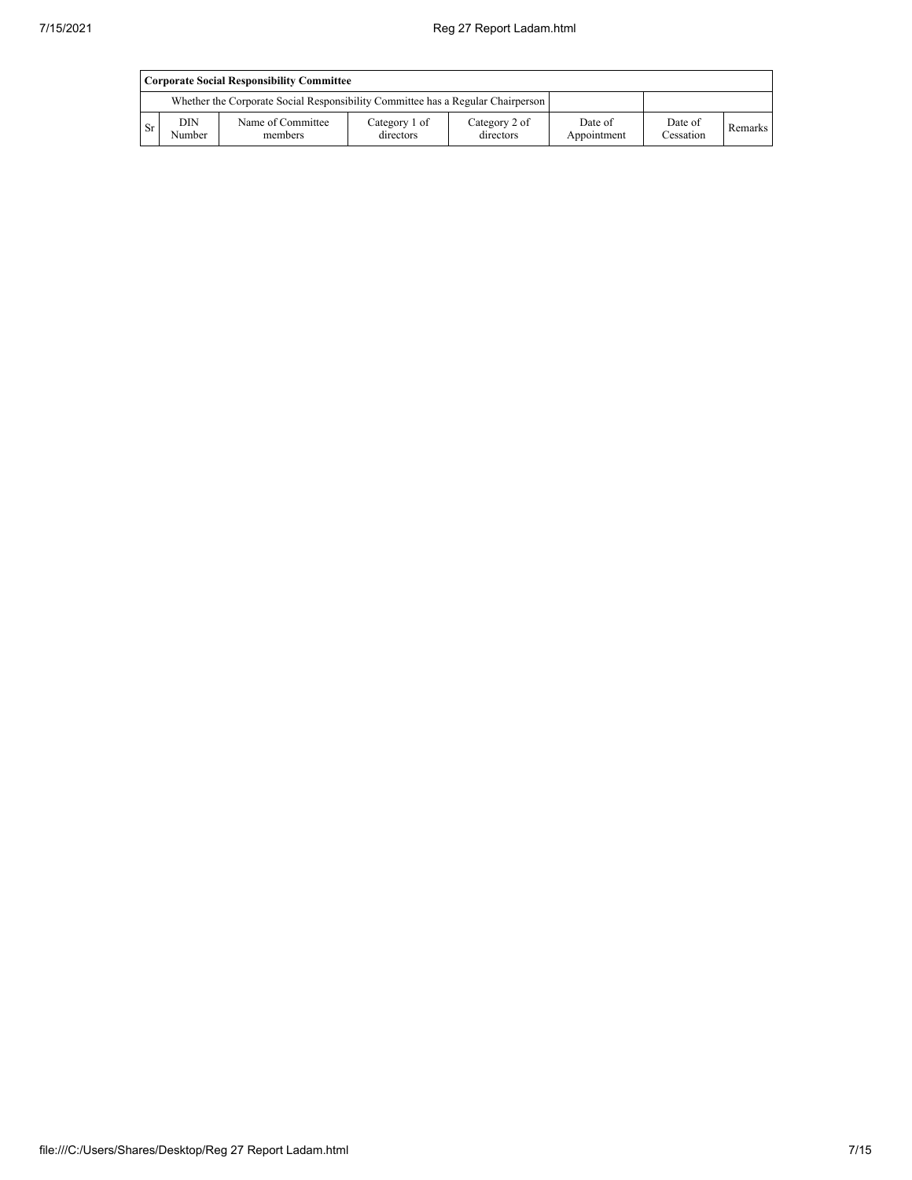|                                                                                 | Corporate Social Responsibility Committee |                              |                            |                            |                        |                      |         |  |  |  |
|---------------------------------------------------------------------------------|-------------------------------------------|------------------------------|----------------------------|----------------------------|------------------------|----------------------|---------|--|--|--|
| Whether the Corporate Social Responsibility Committee has a Regular Chairperson |                                           |                              |                            |                            |                        |                      |         |  |  |  |
| -Sr                                                                             | DIN<br>Number                             | Name of Committee<br>members | Category 1 of<br>directors | Category 2 of<br>directors | Date of<br>Appointment | Date of<br>Cessation | Remarks |  |  |  |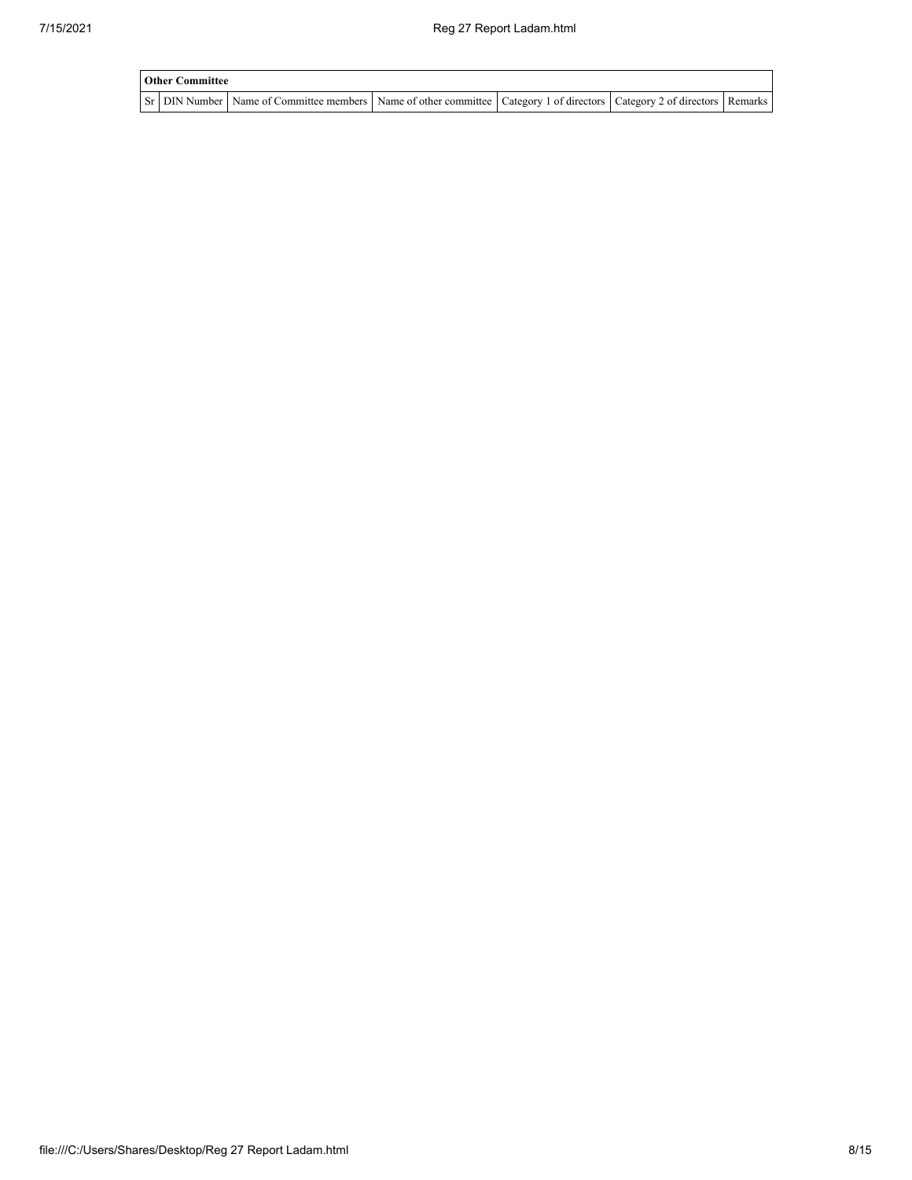| <b>Other Committee</b> |                                                                                                                                     |  |  |  |  |  |  |  |
|------------------------|-------------------------------------------------------------------------------------------------------------------------------------|--|--|--|--|--|--|--|
|                        | Sr   DIN Number   Name of Committee members   Name of other committee   Category 1 of directors   Category 2 of directors   Remarks |  |  |  |  |  |  |  |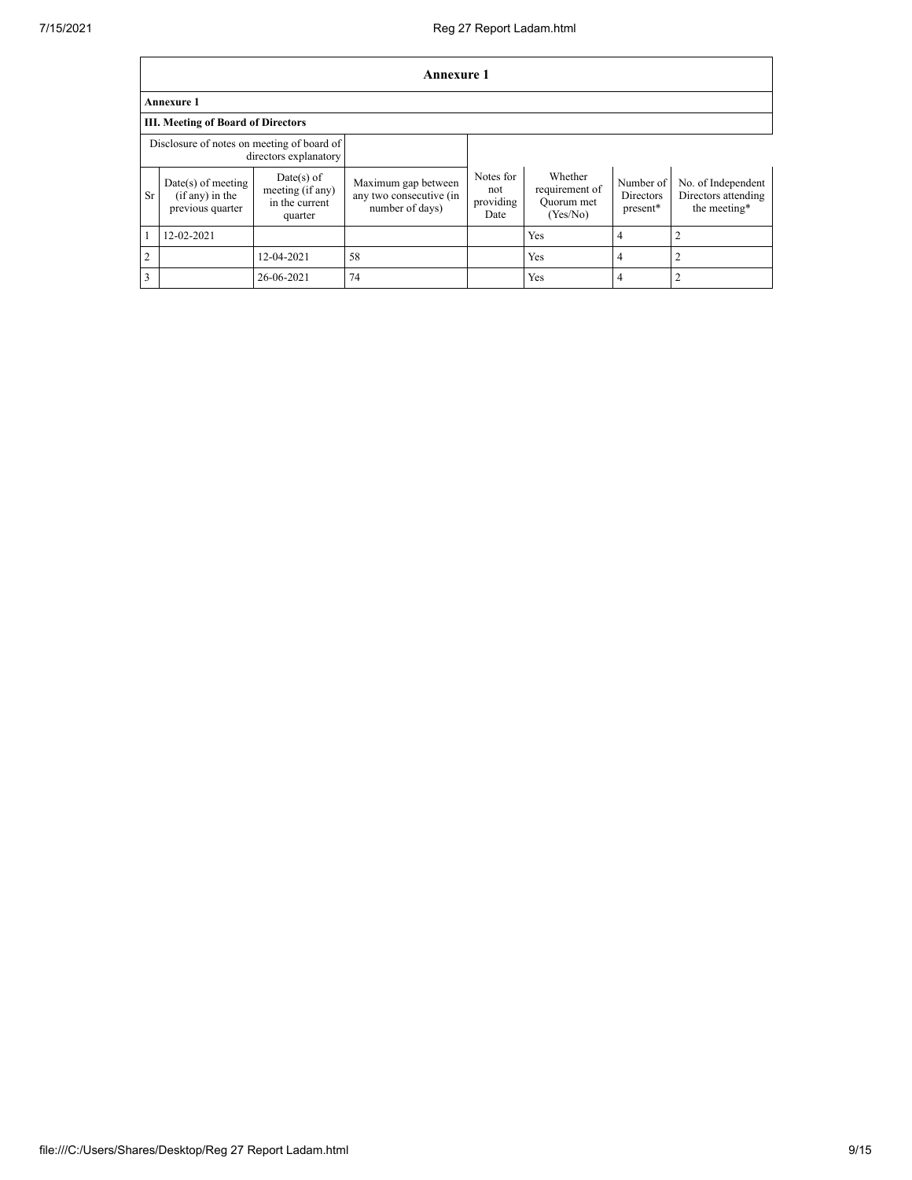|                         | <b>Annexure 1</b>                                                   |                                                               |                                                                   |                                       |                                                     |                                    |                                                           |  |  |  |
|-------------------------|---------------------------------------------------------------------|---------------------------------------------------------------|-------------------------------------------------------------------|---------------------------------------|-----------------------------------------------------|------------------------------------|-----------------------------------------------------------|--|--|--|
|                         | <b>Annexure 1</b>                                                   |                                                               |                                                                   |                                       |                                                     |                                    |                                                           |  |  |  |
|                         | <b>III. Meeting of Board of Directors</b>                           |                                                               |                                                                   |                                       |                                                     |                                    |                                                           |  |  |  |
|                         | Disclosure of notes on meeting of board of<br>directors explanatory |                                                               |                                                                   |                                       |                                                     |                                    |                                                           |  |  |  |
| <b>Sr</b>               | $Date(s)$ of meeting<br>$(i f any)$ in the<br>previous quarter      | $Date(s)$ of<br>meeting (if any)<br>in the current<br>quarter | Maximum gap between<br>any two consecutive (in<br>number of days) | Notes for<br>not<br>providing<br>Date | Whether<br>requirement of<br>Ouorum met<br>(Yes/No) | Number of<br>Directors<br>present* | No. of Independent<br>Directors attending<br>the meeting* |  |  |  |
|                         | 12-02-2021                                                          |                                                               |                                                                   |                                       | Yes                                                 | $\overline{4}$                     | 2                                                         |  |  |  |
| $\overline{2}$          |                                                                     | 12-04-2021                                                    | 58                                                                |                                       | Yes                                                 | $\overline{4}$                     | $\overline{2}$                                            |  |  |  |
| $\overline{\mathbf{3}}$ |                                                                     | 26-06-2021                                                    | 74                                                                |                                       | Yes                                                 | 4                                  | 2                                                         |  |  |  |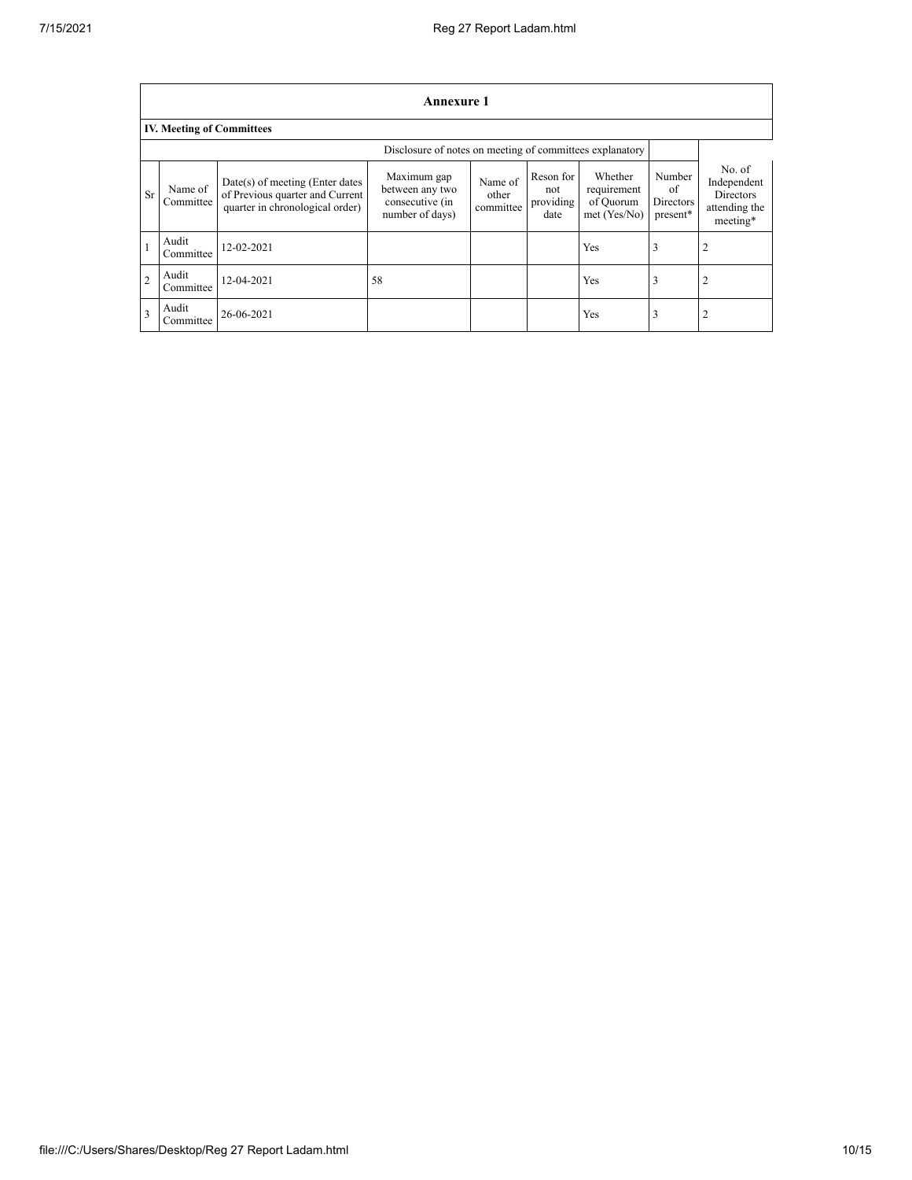|                | Annexure 1                       |                                                                                                       |                                                                      |                               |                                       |                                                       |                                              |                                                                        |  |  |  |
|----------------|----------------------------------|-------------------------------------------------------------------------------------------------------|----------------------------------------------------------------------|-------------------------------|---------------------------------------|-------------------------------------------------------|----------------------------------------------|------------------------------------------------------------------------|--|--|--|
|                | <b>IV. Meeting of Committees</b> |                                                                                                       |                                                                      |                               |                                       |                                                       |                                              |                                                                        |  |  |  |
|                |                                  |                                                                                                       | Disclosure of notes on meeting of committees explanatory             |                               |                                       |                                                       |                                              |                                                                        |  |  |  |
| <b>Sr</b>      | Name of<br>Committee             | Date(s) of meeting (Enter dates<br>of Previous quarter and Current<br>quarter in chronological order) | Maximum gap<br>between any two<br>consecutive (in<br>number of days) | Name of<br>other<br>committee | Reson for<br>not<br>providing<br>date | Whether<br>requirement<br>of Quorum<br>$met$ (Yes/No) | Number<br>of<br><b>Directors</b><br>present* | No. of<br>Independent<br><b>Directors</b><br>attending the<br>meeting* |  |  |  |
|                | Audit<br>Committee               | 12-02-2021                                                                                            |                                                                      |                               |                                       | Yes                                                   | 3                                            | $\overline{2}$                                                         |  |  |  |
| $\overline{2}$ | Audit<br>Committee               | 12-04-2021                                                                                            | 58                                                                   |                               |                                       | Yes                                                   | 3                                            | $\overline{2}$                                                         |  |  |  |
| $\mathbf{3}$   | Audit<br>Committee               | 26-06-2021                                                                                            |                                                                      |                               |                                       | Yes                                                   | 3                                            | $\overline{2}$                                                         |  |  |  |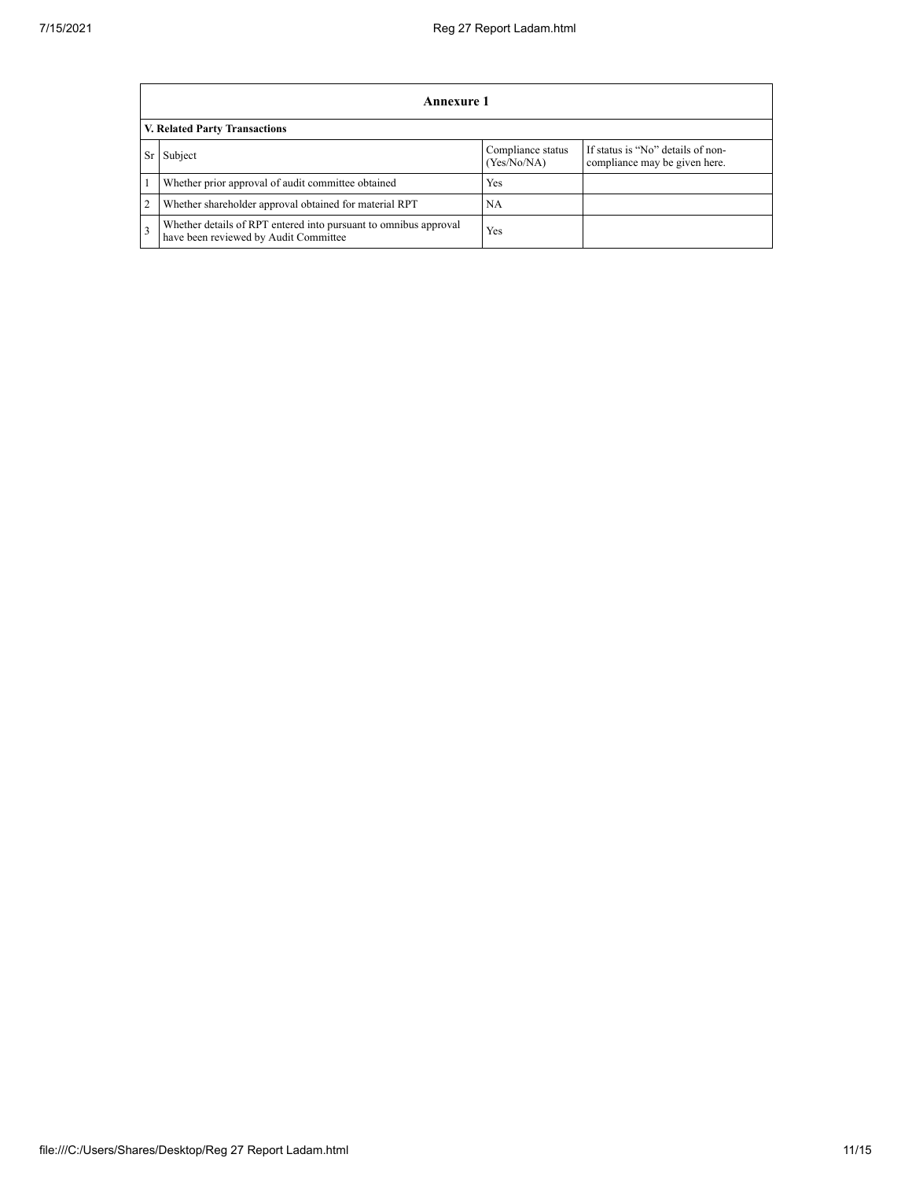|                | <b>Annexure 1</b>                                                                                         |                                  |                                                                    |  |  |  |  |  |  |
|----------------|-----------------------------------------------------------------------------------------------------------|----------------------------------|--------------------------------------------------------------------|--|--|--|--|--|--|
|                | V. Related Party Transactions                                                                             |                                  |                                                                    |  |  |  |  |  |  |
| Sr             | Subject                                                                                                   | Compliance status<br>(Yes/No/NA) | If status is "No" details of non-<br>compliance may be given here. |  |  |  |  |  |  |
|                | Whether prior approval of audit committee obtained                                                        | Yes                              |                                                                    |  |  |  |  |  |  |
| $\overline{2}$ | Whether shareholder approval obtained for material RPT                                                    | NA                               |                                                                    |  |  |  |  |  |  |
| 3              | Whether details of RPT entered into pursuant to omnibus approval<br>have been reviewed by Audit Committee | Yes                              |                                                                    |  |  |  |  |  |  |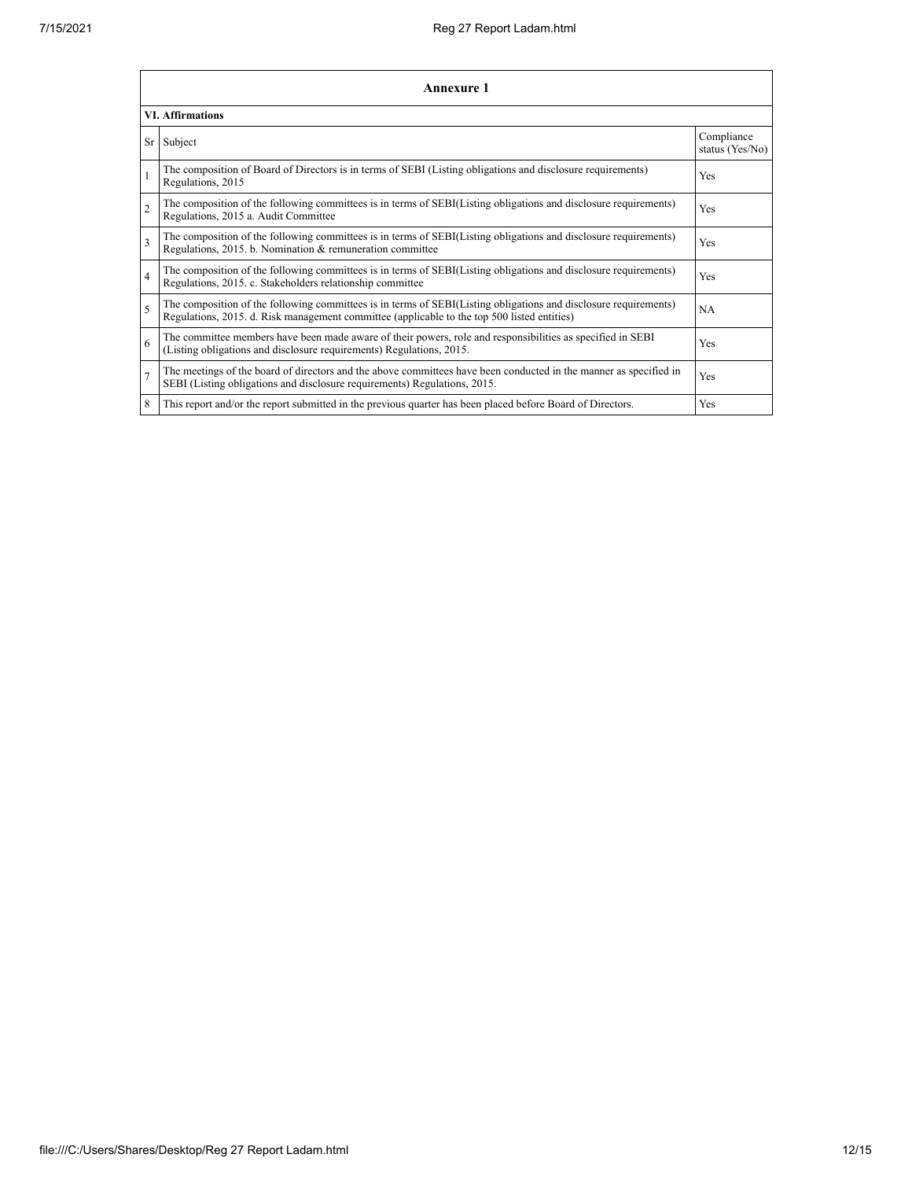F

|                | Annexure 1                                                                                                                                                                                                      |                               |  |  |  |  |  |  |
|----------------|-----------------------------------------------------------------------------------------------------------------------------------------------------------------------------------------------------------------|-------------------------------|--|--|--|--|--|--|
|                | <b>VI. Affirmations</b>                                                                                                                                                                                         |                               |  |  |  |  |  |  |
| Sr             | Subject                                                                                                                                                                                                         | Compliance<br>status (Yes/No) |  |  |  |  |  |  |
|                | The composition of Board of Directors is in terms of SEBI (Listing obligations and disclosure requirements)<br>Regulations, 2015                                                                                | Yes                           |  |  |  |  |  |  |
| $\overline{c}$ | The composition of the following committees is in terms of SEBI(Listing obligations and disclosure requirements)<br>Regulations, 2015 a. Audit Committee                                                        | Yes                           |  |  |  |  |  |  |
| 3              | The composition of the following committees is in terms of SEBI(Listing obligations and disclosure requirements)<br>Regulations, 2015. b. Nomination & remuneration committee                                   | Yes                           |  |  |  |  |  |  |
| $\overline{4}$ | The composition of the following committees is in terms of SEBI(Listing obligations and disclosure requirements)<br>Regulations, 2015. c. Stakeholders relationship committee                                   | Yes                           |  |  |  |  |  |  |
| $\varsigma$    | The composition of the following committees is in terms of SEBI(Listing obligations and disclosure requirements)<br>Regulations, 2015. d. Risk management committee (applicable to the top 500 listed entities) | <b>NA</b>                     |  |  |  |  |  |  |
| 6              | The committee members have been made aware of their powers, role and responsibilities as specified in SEBI<br>(Listing obligations and disclosure requirements) Regulations, 2015.                              | Yes                           |  |  |  |  |  |  |
| $\overline{7}$ | The meetings of the board of directors and the above committees have been conducted in the manner as specified in<br>SEBI (Listing obligations and disclosure requirements) Regulations, 2015.                  | Yes                           |  |  |  |  |  |  |
| 8              | This report and/or the report submitted in the previous quarter has been placed before Board of Directors.                                                                                                      | Yes                           |  |  |  |  |  |  |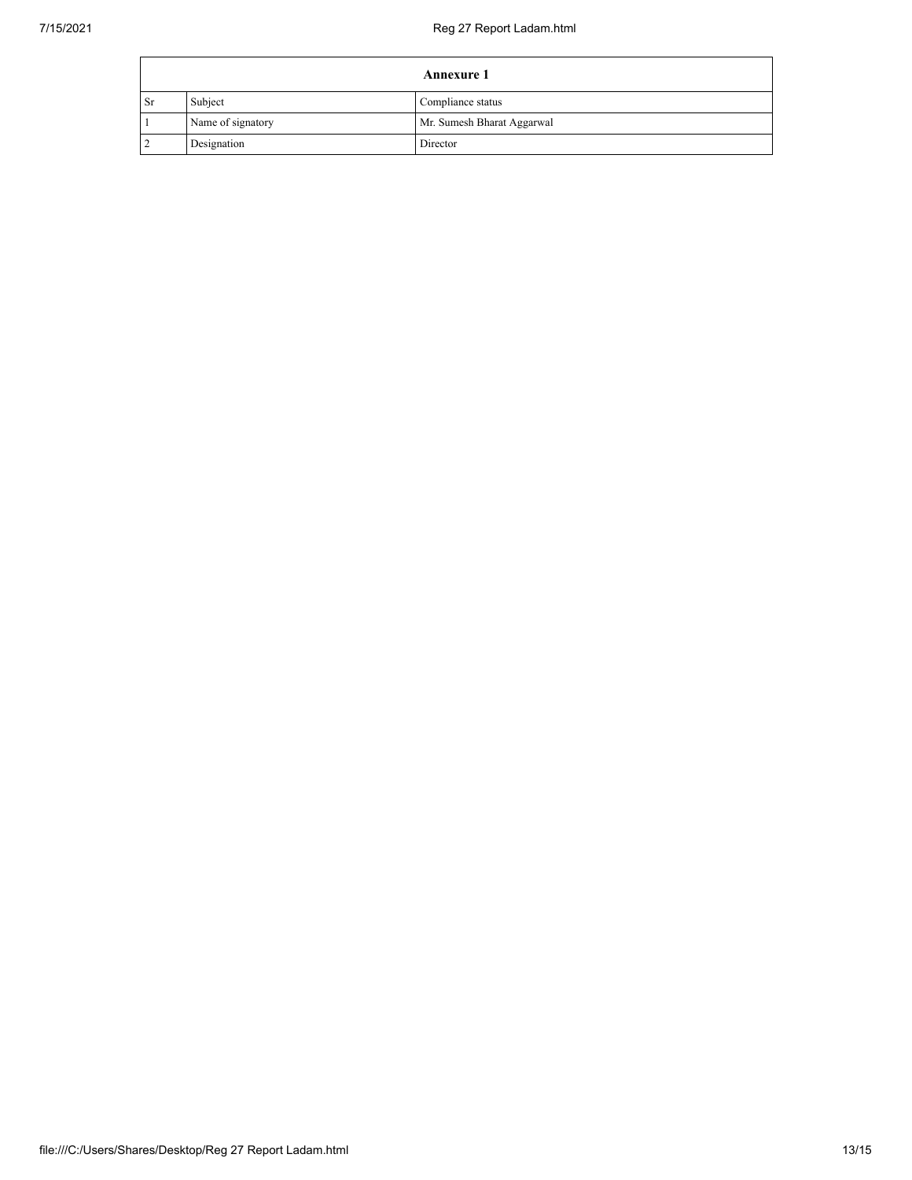| <b>Annexure 1</b> |                   |                            |  |  |
|-------------------|-------------------|----------------------------|--|--|
| <sub>Sr</sub>     | Subject           | Compliance status          |  |  |
|                   | Name of signatory | Mr. Sumesh Bharat Aggarwal |  |  |
|                   | Designation       | Director                   |  |  |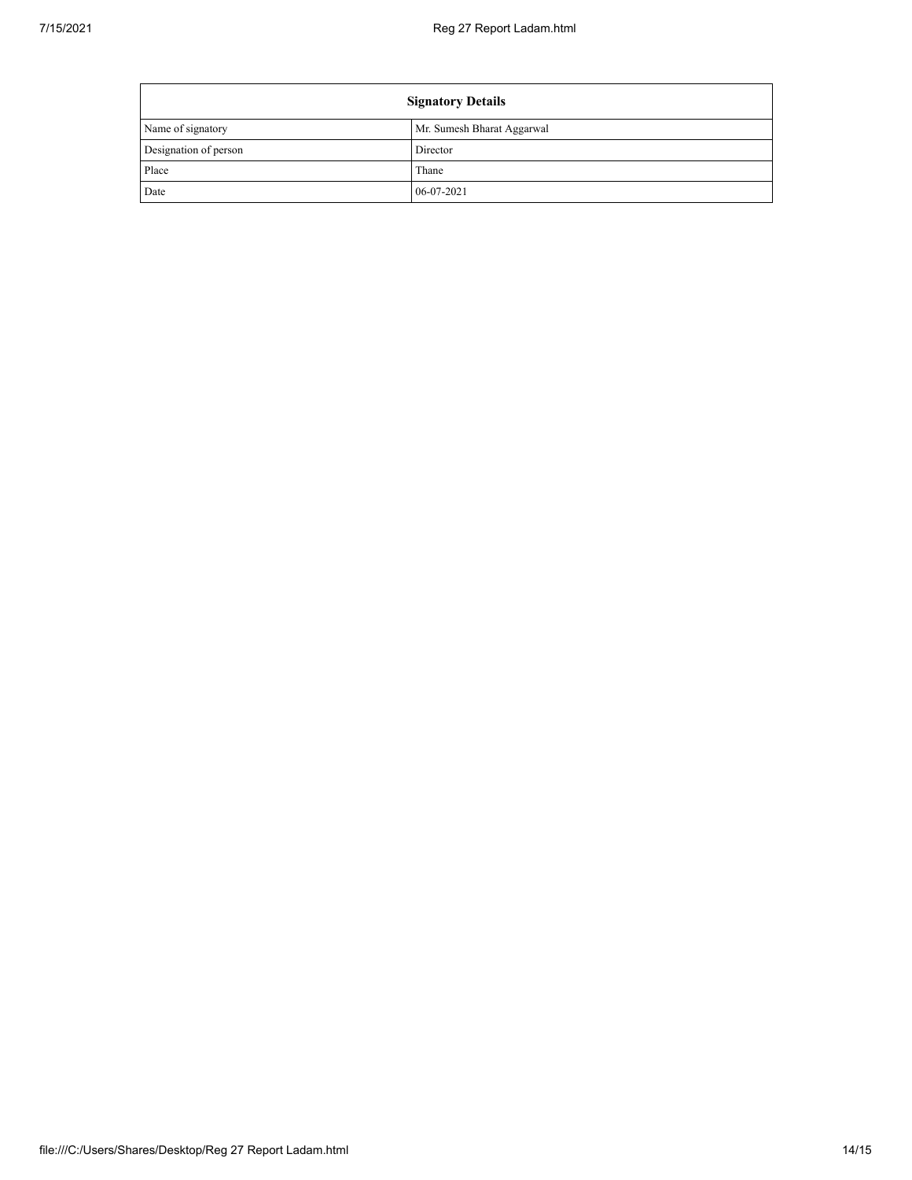| <b>Signatory Details</b> |                            |  |  |  |
|--------------------------|----------------------------|--|--|--|
| Name of signatory        | Mr. Sumesh Bharat Aggarwal |  |  |  |
| Designation of person    | Director                   |  |  |  |
| Place                    | Thane                      |  |  |  |
| Date                     | 06-07-2021                 |  |  |  |